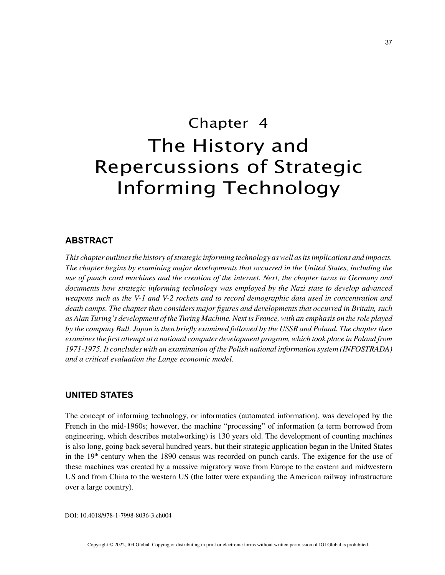# Chapter 4 The History and Repercussions of Strategic Informing Technology

# **ABSTRACT**

*This chapter outlines the history of strategic informing technology as well as its implications and impacts. The chapter begins by examining major developments that occurred in the United States, including the use of punch card machines and the creation of the internet. Next, the chapter turns to Germany and documents how strategic informing technology was employed by the Nazi state to develop advanced weapons such as the V-1 and V-2 rockets and to record demographic data used in concentration and death camps. The chapter then considers major figures and developments that occurred in Britain, such as Alan Turing's development of the Turing Machine. Next is France, with an emphasis on the role played by the company Bull. Japan is then briefly examined followed by the USSR and Poland. The chapter then examines the first attempt at a national computer development program, which took place in Poland from 1971-1975. It concludes with an examination of the Polish national information system (INFOSTRADA) and a critical evaluation the Lange economic model.*

# **UNITED STATES**

The concept of informing technology, or informatics (automated information), was developed by the French in the mid-1960s; however, the machine "processing" of information (a term borrowed from engineering, which describes metalworking) is 130 years old. The development of counting machines is also long, going back several hundred years, but their strategic application began in the United States in the 19<sup>th</sup> century when the 1890 census was recorded on punch cards. The exigence for the use of these machines was created by a massive migratory wave from Europe to the eastern and midwestern US and from China to the western US (the latter were expanding the American railway infrastructure over a large country).

DOI: 10.4018/978-1-7998-8036-3.ch004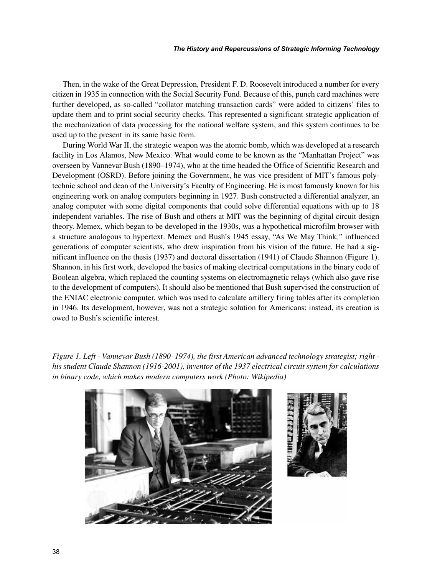Then, in the wake of the Great Depression, President F. D. Roosevelt introduced a number for every citizen in 1935 in connection with the Social Security Fund. Because of this, punch card machines were further developed, as so-called "collator matching transaction cards" were added to citizens' files to update them and to print social security checks. This represented a significant strategic application of the mechanization of data processing for the national welfare system, and this system continues to be used up to the present in its same basic form.

During World War II, the strategic weapon was the atomic bomb, which was developed at a research facility in Los Alamos, New Mexico. What would come to be known as the "Manhattan Project" was overseen by Vannevar Bush (1890–1974), who at the time headed the Office of Scientific Research and Development (OSRD). Before joining the Government, he was vice president of MIT's famous polytechnic school and dean of the University's Faculty of Engineering. He is most famously known for his engineering work on analog computers beginning in 1927. Bush constructed a differential analyzer, an analog computer with some digital components that could solve differential equations with up to 18 independent variables. The rise of Bush and others at MIT was the beginning of digital circuit design theory. Memex, which began to be developed in the 1930s, was a hypothetical microfilm browser with a structure analogous to hypertext. Memex and Bush's 1945 essay, "As We May Think*,"* influenced generations of computer scientists, who drew inspiration from his vision of the future. He had a significant influence on the thesis (1937) and doctoral dissertation (1941) of Claude Shannon (Figure 1). Shannon, in his first work, developed the basics of making electrical computations in the binary code of Boolean algebra, which replaced the counting systems on electromagnetic relays (which also gave rise to the development of computers). It should also be mentioned that Bush supervised the construction of the ENIAC electronic computer, which was used to calculate artillery firing tables after its completion in 1946. Its development, however, was not a strategic solution for Americans; instead, its creation is owed to Bush's scientific interest.

*Figure 1. Left - Vannevar Bush (1890–1974), the first American advanced technology strategist; right his student Claude Shannon (1916-2001), inventor of the 1937 electrical circuit system for calculations in binary code, which makes modern computers work (Photo: Wikipedia)*